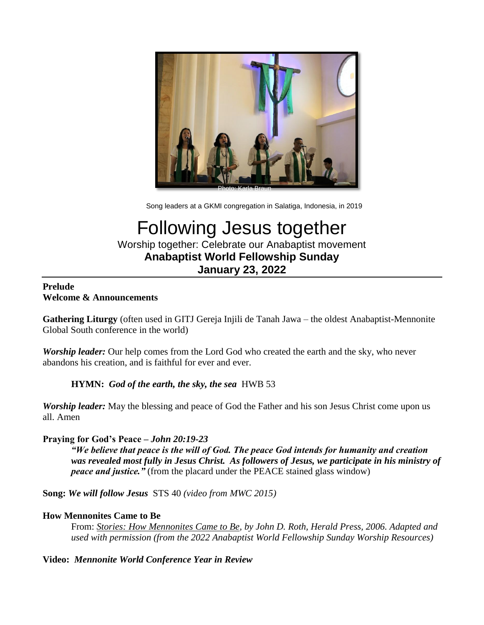

Song leaders at a GKMI congregation in Salatiga, Indonesia, in 2019

# Following Jesus together Worship together: Celebrate our Anabaptist movement **Anabaptist World Fellowship Sunday January 23, 2022**

## **Prelude Welcome & Announcements**

**Gathering Liturgy** (often used in GITJ Gereja Injili de Tanah Jawa – the oldest Anabaptist-Mennonite Global South conference in the world)

*Worship leader:* Our help comes from the Lord God who created the earth and the sky, who never abandons his creation, and is faithful for ever and ever.

## **HYMN:** *God of the earth, the sky, the sea*HWB 53

*Worship leader:* May the blessing and peace of God the Father and his son Jesus Christ come upon us all. Amen

## **Praying for God's Peace –** *John 20:19-23*

*"We believe that peace is the will of God. The peace God intends for humanity and creation was revealed most fully in Jesus Christ. As followers of Jesus, we participate in his ministry of peace and justice."* (from the placard under the PEACE stained glass window)

**Song:** *We will follow Jesus* STS 40 *(video from MWC 2015)*

## **How Mennonites Came to Be**

From: *Stories: How Mennonites Came to Be, by John D. Roth, Herald Press, 2006. Adapted and used with permission (from the 2022 Anabaptist World Fellowship Sunday Worship Resources)*

## **Video:** *Mennonite World Conference Year in Review*